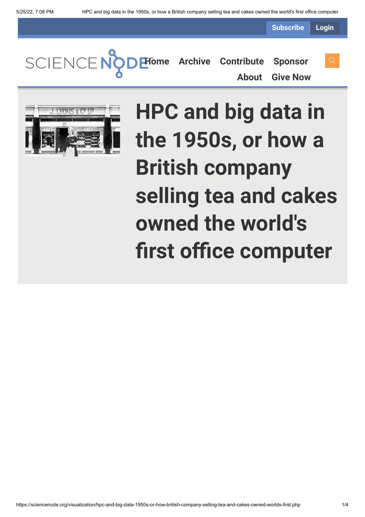**Subscribe Login**

**[Home](https://sciencenode.org/) [Archive](https://sciencenode.org/archive/index.php) [Contribute](https://sciencenode.org/contribute/index.php) [Sponsor](https://sciencenode.org/sponsor/index.php)**

**[About](https://sciencenode.org/about/index.php) [Give Now](https://sciencenode.org/donate/index.php)**



**HPC and big data in the 1950s, or how a British company selling tea and cakes owned the world's first office computer**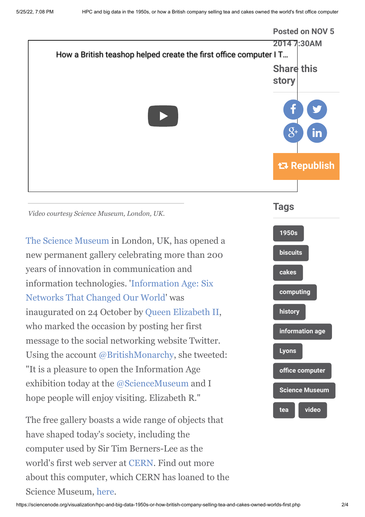

about this computer, which CERN has loaned to the

Science Museum, [here](http://home.web.cern.ch/topics/birth-web).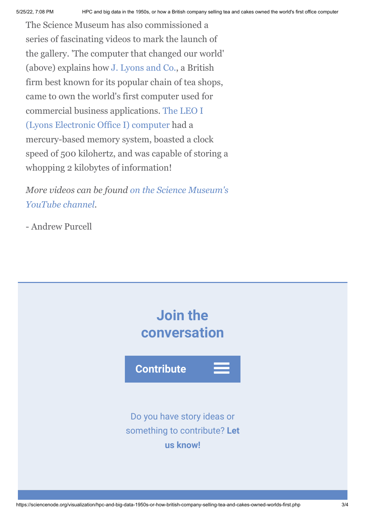The Science Museum has also commissioned a series of fascinating videos to mark the launch of the gallery. 'The computer that changed our world' (above) explains how [J. Lyons and Co.](http://en.wikipedia.org/wiki/J._Lyons_and_Co.), a British firm best known for its popular chain of tea shops, came to own the world's first computer used for [commercial business applications. The LEO I](http://en.wikipedia.org/wiki/LEO_(computer)) (Lyons Electronic Office I) computer had a mercury-based memory system, boasted a clock speed of 500 kilohertz, and was capable of storing a whopping 2 kilobytes of information!

*[More videos can be found on the Science Museum's](https://www.youtube.com/playlist?list=PLwx8_TBZ6z_mS-Q1phReKQi4zuRFr2w43) YouTube channel.*

- Andrew Purcell